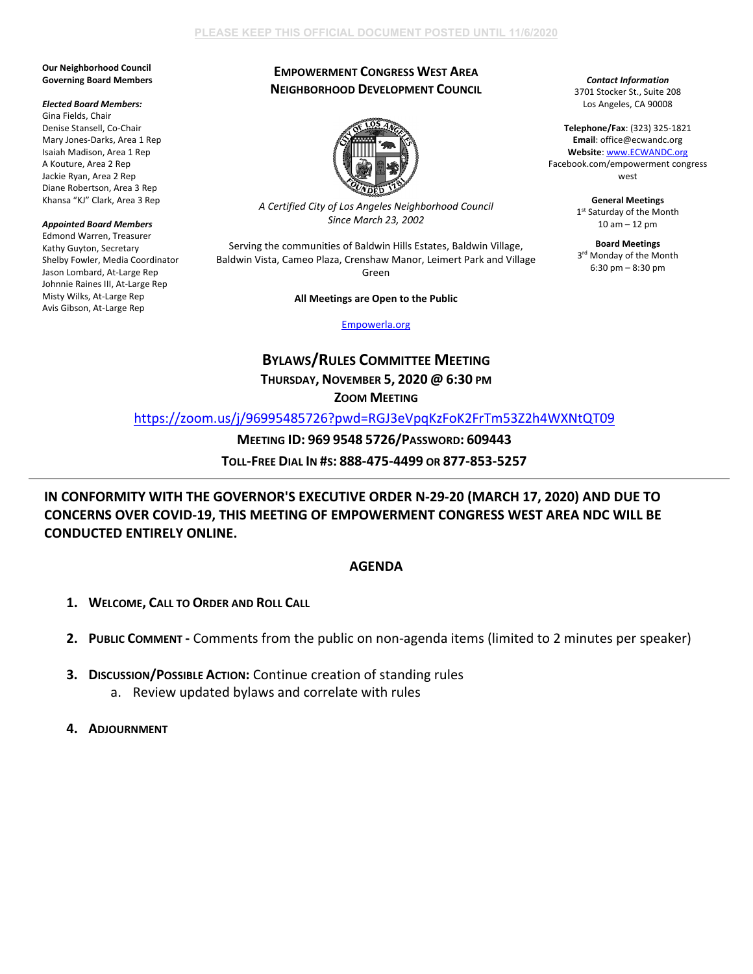#### **Our Neighborhood Council Governing Board Members**

#### *Elected Board Members:*

Gina Fields, Chair Denise Stansell, Co-Chair Mary Jones-Darks, Area 1 Rep Isaiah Madison, Area 1 Rep A Kouture, Area 2 Rep Jackie Ryan, Area 2 Rep Diane Robertson, Area 3 Rep Khansa "KJ" Clark, Area 3 Rep

### *Appointed Board Members*

Edmond Warren, Treasurer Kathy Guyton, Secretary Shelby Fowler, Media Coordinator Jason Lombard, At-Large Rep Johnnie Raines III, At-Large Rep Misty Wilks, At-Large Rep Avis Gibson, At-Large Rep

# **EMPOWERMENT CONGRESS WEST AREA NEIGHBORHOOD DEVELOPMENT COUNCIL**



*A Certified City of Los Angeles Neighborhood Council Since March 23, 2002*

Serving the communities of Baldwin Hills Estates, Baldwin Village, Baldwin Vista, Cameo Plaza, Crenshaw Manor, Leimert Park and Village Green

## **All Meetings are Open to the Public**

[Empowerla.org](http://www.empowerla.org/)

# **BYLAWS/RULES COMMITTEE MEETING**

**THURSDAY, NOVEMBER 5, 2020 @ 6:30 PM** 

**ZOOM MEETING**

<https://zoom.us/j/96995485726?pwd=RGJ3eVpqKzFoK2FrTm53Z2h4WXNtQT09>

# **MEETING ID: 969 9548 5726/PASSWORD: 609443**

**TOLL-FREE DIAL IN #S: 888-475-4499 OR 877-853-5257**

**IN CONFORMITY WITH THE GOVERNOR'S EXECUTIVE ORDER N-29-20 (MARCH 17, 2020) AND DUE TO CONCERNS OVER COVID-19, THIS MEETING OF EMPOWERMENT CONGRESS WEST AREA NDC WILL BE CONDUCTED ENTIRELY ONLINE.**

## **AGENDA**

- **1. WELCOME, CALL TO ORDER AND ROLL CALL**
- **2. PUBLIC COMMENT -** Comments from the public on non-agenda items (limited to 2 minutes per speaker)
- **3. DISCUSSION/POSSIBLE ACTION: Continue creation of standing rules** a. Review updated bylaws and correlate with rules
- **4. ADJOURNMENT**

*Contact Information* 3701 Stocker St., Suite 208 Los Angeles, CA 90008

**Telephone/Fax**: (323) 325-1821 **Email**: office@ecwandc.org **Website**[: www.ECWANDC.org](http://www.ecwandc.org/) Facebook.com/empowerment congress west

> **General Meetings** 1st Saturday of the Month 10 am – 12 pm

**Board Meetings** 3<sup>rd</sup> Monday of the Month 6:30 pm – 8:30 pm